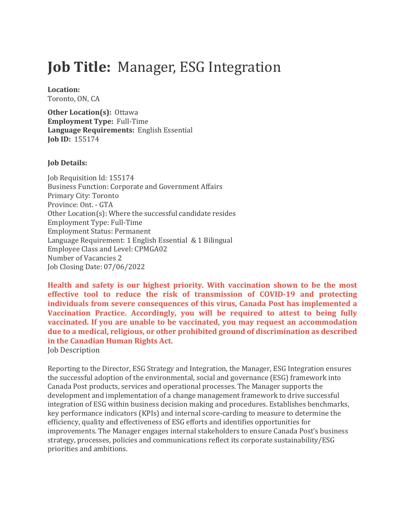# **Job Title: Manager, ESG Integration**

Location:

Toronto, ON, CA

**Other Location(s): Ottawa Employment Type: Full-Time Language Requirements: English Essential Job ID: 155174** 

## **Job Details:**

Job Requisition Id: 155174 Business Function: Corporate and Government Affairs Primary City: Toronto Province: Ont. - GTA Other Location(s): Where the successful candidate resides Employment Type: Full-Time Employment Status: Permanent Language Requirement: 1 English Essential & 1 Bilingual Employee Class and Level: CPMGA02 Number of Vacancies 2 Job Closing Date: 07/06/2022

Health and safety is our highest priority. With vaccination shown to be the most effective tool to reduce the risk of transmission of COVID-19 and protecting **individuals from severe consequences of this virus, Canada Post has implemented a** Vaccination Practice. Accordingly, you will be required to attest to being fully **vaccinated.** If you are unable to be vaccinated, you may request an accommodation due to a medical, religious, or other prohibited ground of discrimination as described in the Canadian Human Rights Act.

**Job Description** 

Reporting to the Director, ESG Strategy and Integration, the Manager, ESG Integration ensures the successful adoption of the environmental, social and governance (ESG) framework into Canada Post products, services and operational processes. The Manager supports the development and implementation of a change management framework to drive successful integration of ESG within business decision making and procedures. Establishes benchmarks, key performance indicators (KPIs) and internal score-carding to measure to determine the efficiency, quality and effectiveness of ESG efforts and identifies opportunities for improvements. The Manager engages internal stakeholders to ensure Canada Post's business strategy, processes, policies and communications reflect its corporate sustainability/ESG priorities and ambitions.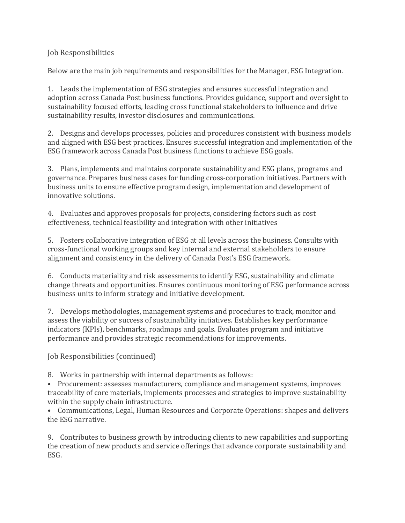Job Responsibilities

Below are the main job requirements and responsibilities for the Manager, ESG Integration.

1. Leads the implementation of ESG strategies and ensures successful integration and adoption across Canada Post business functions. Provides guidance, support and oversight to sustainability focused efforts, leading cross functional stakeholders to influence and drive sustainability results, investor disclosures and communications.

2. Designs and develops processes, policies and procedures consistent with business models and aligned with ESG best practices. Ensures successful integration and implementation of the ESG framework across Canada Post business functions to achieve ESG goals.

3. Plans, implements and maintains corporate sustainability and ESG plans, programs and governance. Prepares business cases for funding cross-corporation initiatives. Partners with business units to ensure effective program design, implementation and development of innovative solutions.

4. Evaluates and approves proposals for projects, considering factors such as cost effectiveness, technical feasibility and integration with other initiatives

5. Fosters collaborative integration of ESG at all levels across the business. Consults with cross-functional working groups and key internal and external stakeholders to ensure alignment and consistency in the delivery of Canada Post's ESG framework.

6. Conducts materiality and risk assessments to identify ESG, sustainability and climate change threats and opportunities. Ensures continuous monitoring of ESG performance across business units to inform strategy and initiative development.

7. Develops methodologies, management systems and procedures to track, monitor and assess the viability or success of sustainability initiatives. Establishes key performance indicators (KPIs), benchmarks, roadmaps and goals. Evaluates program and initiative performance and provides strategic recommendations for improvements.

Job Responsibilities (continued)

8. Works in partnership with internal departments as follows:

• Procurement: assesses manufacturers, compliance and management systems, improves traceability of core materials, implements processes and strategies to improve sustainability within the supply chain infrastructure.

• Communications, Legal, Human Resources and Corporate Operations: shapes and delivers the ESG narrative

9. Contributes to business growth by introducing clients to new capabilities and supporting the creation of new products and service offerings that advance corporate sustainability and ESG.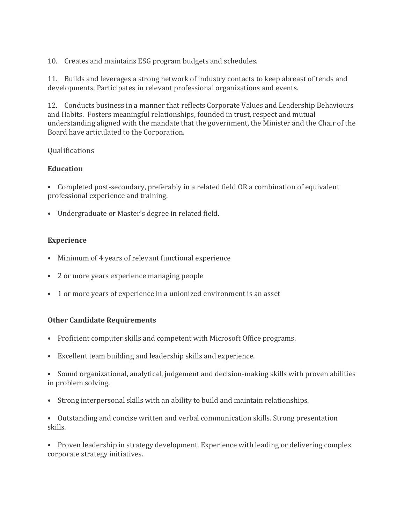10. Creates and maintains ESG program budgets and schedules.

11. Builds and leverages a strong network of industry contacts to keep abreast of tends and developments. Participates in relevant professional organizations and events.

12. Conducts business in a manner that reflects Corporate Values and Leadership Behaviours and Habits. Fosters meaningful relationships, founded in trust, respect and mutual understanding aligned with the mandate that the government, the Minister and the Chair of the Board have articulated to the Corporation.

## Qualifications

## **Education**

• Completed post-secondary, preferably in a related field OR a combination of equivalent professional experience and training.

• Undergraduate or Master's degree in related field.

## **Experience**

- Minimum of 4 years of relevant functional experience
- 2 or more years experience managing people
- 1 or more years of experience in a unionized environment is an asset

## **Other Candidate Requirements**

- Proficient computer skills and competent with Microsoft Office programs.
- Excellent team building and leadership skills and experience.
- Sound organizational, analytical, judgement and decision-making skills with proven abilities in problem solving.
- Strong interpersonal skills with an ability to build and maintain relationships.
- Outstanding and concise written and verbal communication skills. Strong presentation skills.

• Proven leadership in strategy development. Experience with leading or delivering complex corporate strategy initiatives.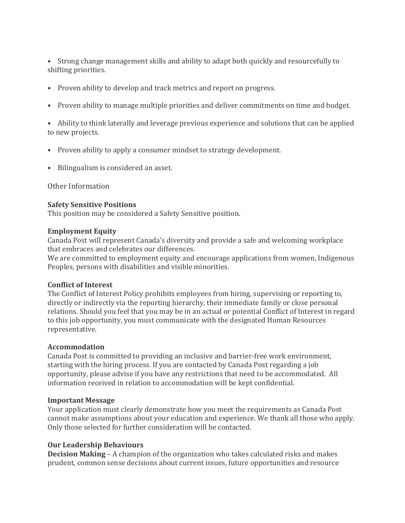• Strong change management skills and ability to adapt both quickly and resourcefully to shifting priorities.

- Proven ability to develop and track metrics and report on progress.
- Proven ability to manage multiple priorities and deliver commitments on time and budget.

• Ability to think laterally and leverage previous experience and solutions that can be applied to new projects.

- Proven ability to apply a consumer mindset to strategy development.
- Bilingualism is considered an asset.

Other Information

#### **Safety Sensitive Positions**

This position may be considered a Safety Sensitive position.

#### **Employment Equity**

Canada Post will represent Canada's diversity and provide a safe and welcoming workplace that embraces and celebrates our differences.

We are committed to employment equity and encourage applications from women, Indigenous Peoples, persons with disabilities and visible minorities.

#### **Conflict of Interest**

The Conflict of Interest Policy prohibits employees from hiring, supervising or reporting to, directly or indirectly via the reporting hierarchy, their immediate family or close personal relations. Should you feel that you may be in an actual or potential Conflict of Interest in regard to this job opportunity, you must communicate with the designated Human Resources representative.

#### **Accommodation**

Canada Post is committed to providing an inclusive and barrier-free work environment, starting with the hiring process. If you are contacted by Canada Post regarding a job opportunity, please advise if you have any restrictions that need to be accommodated. All information received in relation to accommodation will be kept confidential.

#### **Important Message**

Your application must clearly demonstrate how you meet the requirements as Canada Post cannot make assumptions about your education and experience. We thank all those who apply. Only those selected for further consideration will be contacted.

## **Our Leadership Behaviours**

**Decision Making** – A champion of the organization who takes calculated risks and makes prudent, common sense decisions about current issues, future opportunities and resource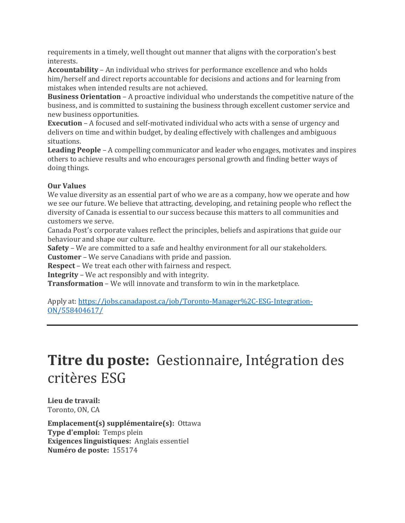requirements in a timely, well thought out manner that aligns with the corporation's best interests.

**Accountability** – An individual who strives for performance excellence and who holds him/herself and direct reports accountable for decisions and actions and for learning from mistakes when intended results are not achieved.

**Business Orientation** – A proactive individual who understands the competitive nature of the business, and is committed to sustaining the business through excellent customer service and new business opportunities.

**Execution** – A focused and self-motivated individual who acts with a sense of urgency and delivers on time and within budget, by dealing effectively with challenges and ambiguous situations.

**Leading People** – A compelling communicator and leader who engages, motivates and inspires others to achieve results and who encourages personal growth and finding better ways of doing things.

# **Our Values**

We value diversity as an essential part of who we are as a company, how we operate and how we see our future. We believe that attracting, developing, and retaining people who reflect the diversity of Canada is essential to our success because this matters to all communities and customers we serve.

Canada Post's corporate values reflect the principles, beliefs and aspirations that guide our behaviour and shape our culture.

**Safety** – We are committed to a safe and healthy environment for all our stakeholders.

**Customer** – We serve Canadians with pride and passion.

**Respect** – We treat each other with fairness and respect.

**Integrity** – We act responsibly and with integrity.

**Transformation** - We will innovate and transform to win in the marketplace.

Apply at: https://jobs.canadapost.ca/job/Toronto-Manager%2C-ESG-Integration-ON/558404617/

# **Titre du poste:** Gestionnaire, Intégration des critères ESG

Lieu de travail: Toronto, ON, CA

**Emplacement(s)** supplémentaire(s): Ottawa **Type d'emploi:** Temps plein **Exigences linguistiques:** Anglais essentiel Numéro de poste: 155174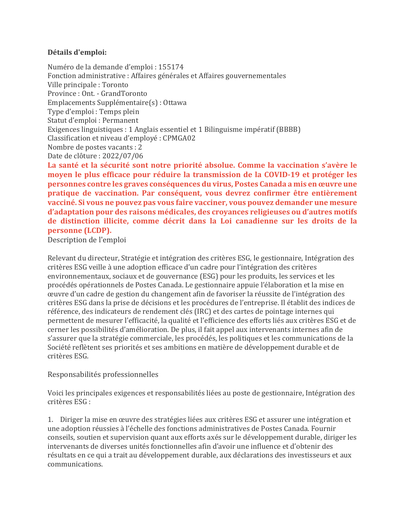## **Détails d'emploi:**

Numéro de la demande d'emploi : 155174 Fonction administrative : Affaires générales et Affaires gouvernementales Ville principale : Toronto Province : Ont. - GrandToronto Emplacements Supplémentaire(s) : Ottawa Type d'emploi : Temps plein Statut d'emploi : Permanent Exigences linguistiques : 1 Anglais essentiel et 1 Bilinguisme impératif (BBBB) Classification et niveau d'employé : CPMGA02 Nombre de postes vacants : 2 Date de clôture : 2022/07/06

La santé et la sécurité sont notre priorité absolue. Comme la vaccination s'avère le moyen le plus efficace pour réduire la transmission de la COVID-19 et protéger les **personnes contre les graves conséquences du virus, Postes Canada a mis en œuvre une** pratique de vaccination. Par conséquent, vous devrez confirmer être entièrement **vacciné. Si vous ne pouvez pas vous faire vacciner, vous pouvez demander une mesure** d'adaptation pour des raisons médicales, des croyances religieuses ou d'autres motifs de distinction illicite, comme décrit dans la Loi canadienne sur les droits de la **personne** (LCDP).

Description de l'emploi

Relevant du directeur, Stratégie et intégration des critères ESG, le gestionnaire, Intégration des critères ESG veille à une adoption efficace d'un cadre pour l'intégration des critères environnementaux, sociaux et de gouvernance (ESG) pour les produits, les services et les procédés opérationnels de Postes Canada. Le gestionnaire appuie l'élaboration et la mise en ceuvre d'un cadre de gestion du changement afin de favoriser la réussite de l'intégration des critères ESG dans la prise de décisions et les procédures de l'entreprise. Il établit des indices de référence, des indicateurs de rendement clés (IRC) et des cartes de pointage internes qui permettent de mesurer l'efficacité, la qualité et l'efficience des efforts liés aux critères ESG et de cerner les possibilités d'amélioration. De plus, il fait appel aux intervenants internes afin de s'assurer que la stratégie commerciale, les procédés, les politiques et les communications de la Société reflètent ses priorités et ses ambitions en matière de développement durable et de critères ESG.

## Responsabilités professionnelles

Voici les principales exigences et responsabilités liées au poste de gestionnaire, Intégration des critères ESG :

1. Diriger la mise en œuvre des stratégies liées aux critères ESG et assurer une intégration et une adoption réussies à l'échelle des fonctions administratives de Postes Canada. Fournir conseils, soutien et supervision quant aux efforts axés sur le développement durable, diriger les intervenants de diverses unités fonctionnelles afin d'avoir une influence et d'obtenir des résultats en ce qui a trait au développement durable, aux déclarations des investisseurs et aux communications.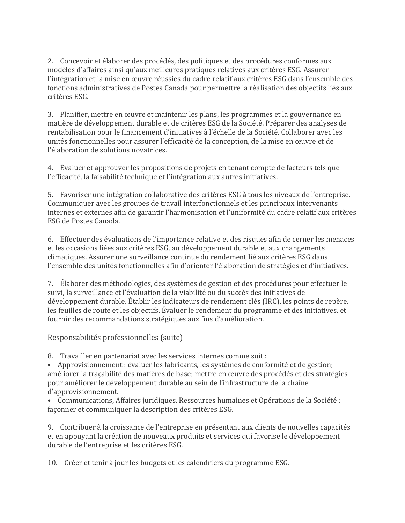2. Concevoir et élaborer des procédés, des politiques et des procédures conformes aux modèles d'affaires ainsi qu'aux meilleures pratiques relatives aux critères ESG. Assurer l'intégration et la mise en œuvre réussies du cadre relatif aux critères ESG dans l'ensemble des fonctions administratives de Postes Canada pour permettre la réalisation des objectifs liés aux critères ESG.

3. Planifier, mettre en œuvre et maintenir les plans, les programmes et la gouvernance en matière de développement durable et de critères ESG de la Société. Préparer des analyses de rentabilisation pour le financement d'initiatives à l'échelle de la Société. Collaborer avec les unités fonctionnelles pour assurer l'efficacité de la conception, de la mise en œuvre et de l'élaboration de solutions novatrices.

4. Evaluer et approuver les propositions de projets en tenant compte de facteurs tels que l'efficacité, la faisabilité technique et l'intégration aux autres initiatives.

5. Favoriser une intégration collaborative des critères ESG à tous les niveaux de l'entreprise. Communiquer avec les groupes de travail interfonctionnels et les principaux intervenants internes et externes afin de garantir l'harmonisation et l'uniformité du cadre relatif aux critères ESG de Postes Canada.

6. Effectuer des évaluations de l'importance relative et des risques afin de cerner les menaces et les occasions liées aux critères ESG, au développement durable et aux changements climatiques. Assurer une surveillance continue du rendement lié aux critères ESG dans l'ensemble des unités fonctionnelles afin d'orienter l'élaboration de stratégies et d'initiatives.

7. Elaborer des méthodologies, des systèmes de gestion et des procédures pour effectuer le suivi, la surveillance et l'évaluation de la viabilité ou du succès des initiatives de développement durable. Établir les indicateurs de rendement clés (IRC), les points de repère, les feuilles de route et les objectifs. Évaluer le rendement du programme et des initiatives, et fournir des recommandations stratégiques aux fins d'amélioration.

Responsabilités professionnelles (suite)

8. Travailler en partenariat avec les services internes comme suit :

• Approvisionnement : évaluer les fabricants, les systèmes de conformité et de gestion; améliorer la traçabilité des matières de base; mettre en œuvre des procédés et des stratégies pour améliorer le développement durable au sein de l'infrastructure de la chaîne d'approvisionnement.

• Communications, Affaires juridiques, Ressources humaines et Opérations de la Société : façonner et communiquer la description des critères ESG.

9. Contribuer à la croissance de l'entreprise en présentant aux clients de nouvelles capacités et en appuyant la création de nouveaux produits et services qui favorise le développement durable de l'entreprise et les critères ESG.

10. Créer et tenir à jour les budgets et les calendriers du programme ESG.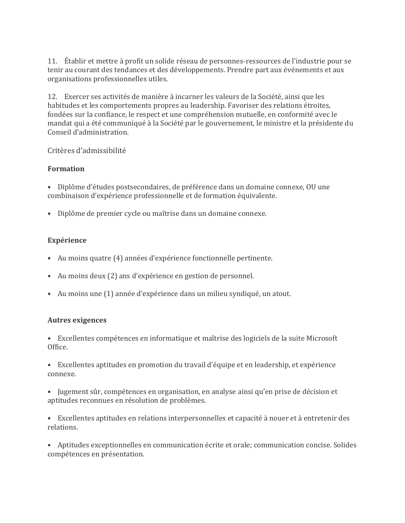11. Établir et mettre à profit un solide réseau de personnes-ressources de l'industrie pour se tenir au courant des tendances et des développements. Prendre part aux événements et aux organisations professionnelles utiles.

12. Exercer ses activités de manière à incarner les valeurs de la Société, ainsi que les habitudes et les comportements propres au leadership. Favoriser des relations étroites, fondées sur la confiance, le respect et une compréhension mutuelle, en conformité avec le mandat qui a été communiqué à la Société par le gouvernement, le ministre et la présidente du Conseil d'administration.

# Critères d'admissibilité

# **Formation**

- Diplôme d'études postsecondaires, de préférence dans un domaine connexe, OU une combinaison d'expérience professionnelle et de formation équivalente.
- Diplôme de premier cycle ou maîtrise dans un domaine connexe.

# **Expérience**

- Au moins quatre (4) années d'expérience fonctionnelle pertinente.
- Au moins deux (2) ans d'expérience en gestion de personnel.
- Au moins une (1) année d'expérience dans un milieu syndiqué, un atout.

# **Autres exigences**

- Excellentes compétences en informatique et maîtrise des logiciels de la suite Microsoft Office.
- Excellentes aptitudes en promotion du travail d'équipe et en leadership, et expérience connexe.
- Jugement sûr, compétences en organisation, en analyse ainsi qu'en prise de décision et aptitudes reconnues en résolution de problèmes.
- Excellentes aptitudes en relations interpersonnelles et capacité à nouer et à entretenir des relations.
- Aptitudes exceptionnelles en communication écrite et orale; communication concise. Solides compétences en présentation.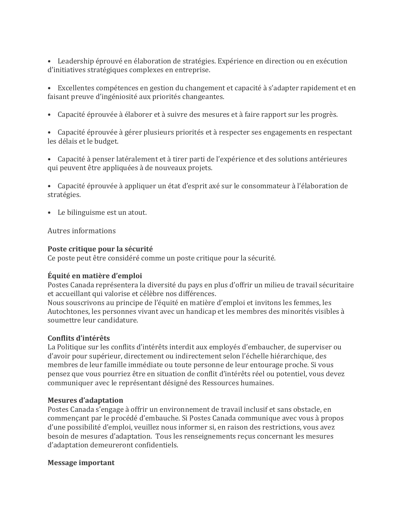• Leadership éprouvé en élaboration de stratégies. Expérience en direction ou en exécution d'initiatives stratégiques complexes en entreprise.

• Excellentes compétences en gestion du changement et capacité à s'adapter rapidement et en faisant preuve d'ingéniosité aux priorités changeantes.

• Capacité éprouvée à élaborer et à suivre des mesures et à faire rapport sur les progrès.

• Capacité éprouvée à gérer plusieurs priorités et à respecter ses engagements en respectant les délais et le budget.

• Capacité à penser latéralement et à tirer parti de l'expérience et des solutions antérieures qui peuvent être appliquées à de nouveaux projets.

• Capacité éprouvée à appliquer un état d'esprit axé sur le consommateur à l'élaboration de stratégies.

• Le bilinguisme est un atout.

Autres informations

#### **Poste critique pour la sécurité**

Ce poste peut être considéré comme un poste critique pour la sécurité.

## **Équité en matière d'emploi**

Postes Canada représentera la diversité du pays en plus d'offrir un milieu de travail sécuritaire et accueillant qui valorise et célèbre nos différences.

Nous souscrivons au principe de l'équité en matière d'emploi et invitons les femmes, les Autochtones, les personnes vivant avec un handicap et les membres des minorités visibles à soumettre leur candidature.

## **Conflits d'intérêts**

La Politique sur les conflits d'intérêts interdit aux employés d'embaucher, de superviser ou d'avoir pour supérieur, directement ou indirectement selon l'échelle hiérarchique, des membres de leur famille immédiate ou toute personne de leur entourage proche. Si vous pensez que vous pourriez être en situation de conflit d'intérêts réel ou potentiel, vous devez communiquer avec le représentant désigné des Ressources humaines.

#### **Mesures d'adaptation**

Postes Canada s'engage à offrir un environnement de travail inclusif et sans obstacle, en commençant par le procédé d'embauche. Si Postes Canada communique avec vous à propos d'une possibilité d'emploi, veuillez nous informer si, en raison des restrictions, vous avez besoin de mesures d'adaptation. Tous les renseignements reçus concernant les mesures d'adaptation demeureront confidentiels.

#### **Message important**